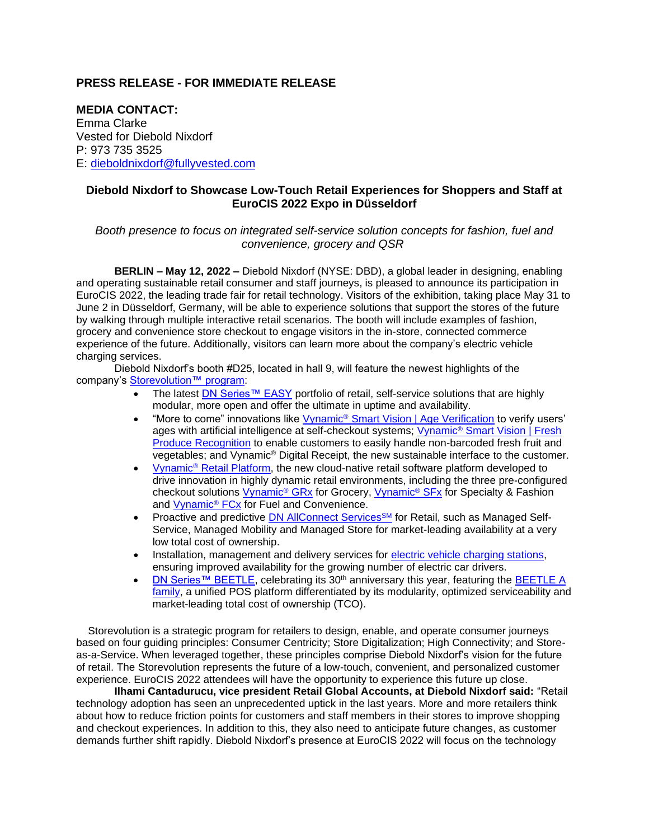## **PRESS RELEASE - FOR IMMEDIATE RELEASE**

**MEDIA CONTACT:** Emma Clarke Vested for Diebold Nixdorf P: 973 735 3525 E: [dieboldnixdorf@fullyvested.com](mailto:dieboldnixdorf@fullyvested.com)

## **Diebold Nixdorf to Showcase Low-Touch Retail Experiences for Shoppers and Staff at EuroCIS 2022 Expo in Düsseldorf**

## *Booth presence to focus on integrated self-service solution concepts for fashion, fuel and convenience, grocery and QSR*

**BERLIN – May 12, 2022 –** Diebold Nixdorf (NYSE: DBD), a global leader in designing, enabling and operating sustainable retail consumer and staff journeys, is pleased to announce its participation in EuroCIS 2022, the leading trade fair for retail technology. Visitors of the exhibition, taking place May 31 to June 2 in Düsseldorf, Germany, will be able to experience solutions that support the stores of the future by walking through multiple interactive retail scenarios. The booth will include examples of fashion, grocery and convenience store checkout to engage visitors in the in-store, connected commerce experience of the future. Additionally, visitors can learn more about the company's electric vehicle charging services.

Diebold Nixdorf's booth #D25, located in hall 9, will feature the newest highlights of the company's [Storevolution™ program:](https://www.dieboldnixdorf.com/en-us/retail/solutions/storevolution)

- The latest [DN Series™ EASY](https://www.dieboldnixdorf.com/en-us/retail/portfolio/systems/easy/overview) portfolio of retail, self-service solutions that are highly modular, more open and offer the ultimate in uptime and availability.
- "More to come" innovations like Vynamic<sup>®</sup> [Smart Vision | Age Verification](https://www.dieboldnixdorf.com/en-us/retail/portfolio/software/self-service/vynamic-self-service/age-verification/) to verify users' ages with artificial intelligence at self-checkout systems; Vynamic<sup>®</sup> Smart Vision | Fresh [Produce Recognition](https://www.dieboldnixdorf.com/en-us/retail/portfolio/software/self-service/vynamic-self-service/fresh-produce-recognition/) to enable customers to easily handle non-barcoded fresh fruit and vegetables; and Vynamic® Digital Receipt, the new sustainable interface to the customer.
- Vynamic® [Retail Platform,](https://www.dieboldnixdorf.com/en-us/retail/portfolio/software/retail-cloud-platform/) the new cloud-native retail software platform developed to drive innovation in highly dynamic retail environments, including the three pre-configured checkout solutions [Vynamic](https://www.dieboldnixdorf.com/en-us/retail/portfolio/software/checkout/grocery/)® GRx for Grocery, [Vynamic](https://www.dieboldnixdorf.com/en-us/retail/portfolio/software/checkout/fashion/)® SFx for Specialty & Fashion and [Vynamic](https://www.dieboldnixdorf.com/en-us/retail/portfolio/software/fuel-and-convenience)® FCx for Fuel and Convenience.
- Proactive and predictive **DN AllConnect Services<sup>SM</sup></u> for Retail, such as Managed Self-**Service, Managed Mobility and Managed Store for market-leading availability at a very low total cost of ownership.
- Installation, management and delivery services for [electric vehicle charging stations,](https://www.dieboldnixdorf.com/en-us/evc/) ensuring improved availability for the growing number of electric car drivers.
- [DN Series™ BEETLE,](https://www.dieboldnixdorf.com/en-us/retail/portfolio/systems/pos%20systems/) celebrating its 30<sup>th</sup> anniversary this year, featuring the BEETLE A [family,](https://www.dieboldnixdorf.com/en-us/retail/portfolio/systems/pos-systems/dn-series-beetle/) a unified POS platform differentiated by its modularity, optimized serviceability and market-leading total cost of ownership (TCO).

Storevolution is a strategic program for retailers to design, enable, and operate consumer journeys based on four guiding principles: Consumer Centricity; Store Digitalization; High Connectivity; and Storeas-a-Service. When leveraged together, these principles comprise Diebold Nixdorf's vision for the future of retail. The Storevolution represents the future of a low-touch, convenient, and personalized customer experience. EuroCIS 2022 attendees will have the opportunity to experience this future up close.

**Ilhami Cantadurucu, vice president Retail Global Accounts, at Diebold Nixdorf said:** "Retail technology adoption has seen an unprecedented uptick in the last years. More and more retailers think about how to reduce friction points for customers and staff members in their stores to improve shopping and checkout experiences. In addition to this, they also need to anticipate future changes, as customer demands further shift rapidly. Diebold Nixdorf's presence at EuroCIS 2022 will focus on the technology